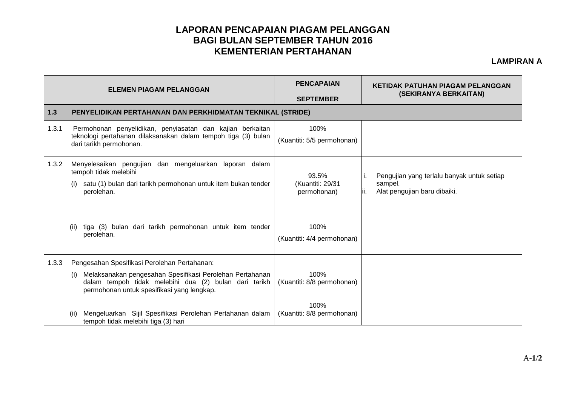## **LAPORAN PENCAPAIAN PIAGAM PELANGGAN BAGI BULAN SEPTEMBER TAHUN 2016 KEMENTERIAN PERTAHANAN**

## **LAMPIRAN A**

| <b>ELEMEN PIAGAM PELANGGAN</b> |                                                                                                                                                                        | <b>PENCAPAIAN</b>                        | <b>KETIDAK PATUHAN PIAGAM PELANGGAN</b>                                                           |  |  |  |
|--------------------------------|------------------------------------------------------------------------------------------------------------------------------------------------------------------------|------------------------------------------|---------------------------------------------------------------------------------------------------|--|--|--|
|                                |                                                                                                                                                                        | <b>SEPTEMBER</b>                         | (SEKIRANYA BERKAITAN)                                                                             |  |  |  |
| 1.3                            | PENYELIDIKAN PERTAHANAN DAN PERKHIDMATAN TEKNIKAL (STRIDE)                                                                                                             |                                          |                                                                                                   |  |  |  |
| 1.3.1                          | Permohonan penyelidikan, penyiasatan dan kajian berkaitan<br>teknologi pertahanan dilaksanakan dalam tempoh tiga (3) bulan<br>dari tarikh permohonan.                  | 100%<br>(Kuantiti: 5/5 permohonan)       |                                                                                                   |  |  |  |
| 1.3.2                          | Menyelesaikan pengujian dan mengeluarkan laporan dalam<br>tempoh tidak melebihi<br>satu (1) bulan dari tarikh permohonan untuk item bukan tender<br>perolehan.         | 93.5%<br>(Kuantiti: 29/31<br>permohonan) | Pengujian yang terlalu banyak untuk setiap<br>Ι.<br>sampel.<br>Alat pengujian baru dibaiki.<br>Ш. |  |  |  |
|                                | tiga (3) bulan dari tarikh permohonan untuk item tender<br>(ii)<br>perolehan.                                                                                          | 100%<br>(Kuantiti: 4/4 permohonan)       |                                                                                                   |  |  |  |
| 1.3.3                          | Pengesahan Spesifikasi Perolehan Pertahanan:                                                                                                                           |                                          |                                                                                                   |  |  |  |
|                                | Melaksanakan pengesahan Spesifikasi Perolehan Pertahanan<br>(i)<br>dalam tempoh tidak melebihi dua (2) bulan dari tarikh<br>permohonan untuk spesifikasi yang lengkap. | 100%<br>(Kuantiti: 8/8 permohonan)       |                                                                                                   |  |  |  |
|                                | Mengeluarkan Sijil Spesifikasi Perolehan Pertahanan dalam<br>(ii)<br>tempoh tidak melebihi tiga (3) hari                                                               | 100%<br>(Kuantiti: 8/8 permohonan)       |                                                                                                   |  |  |  |